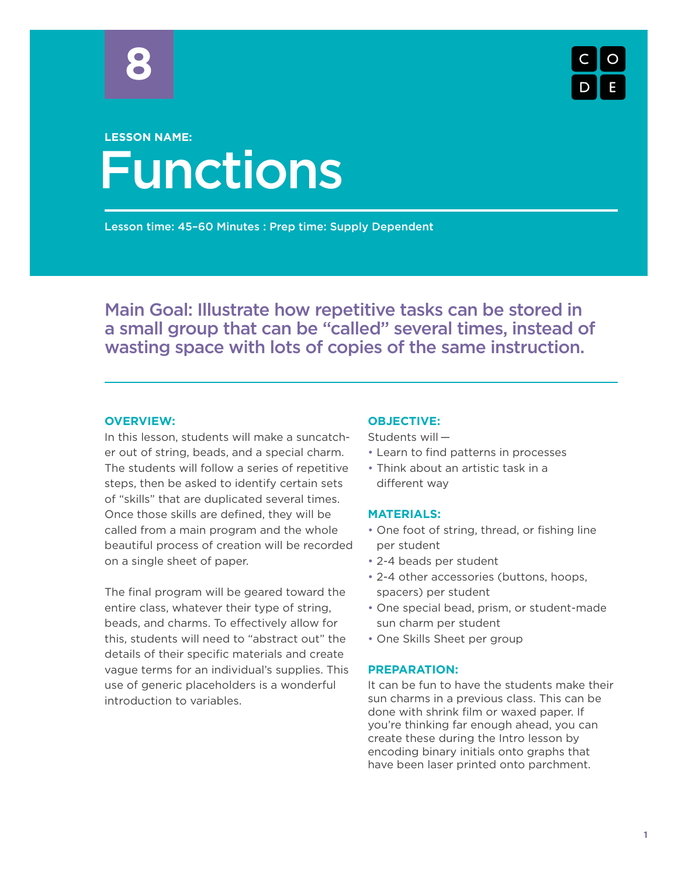

# Functions **LESSON NAME:**

Lesson time: 45–60 Minutes : Prep time: Supply Dependent

Main Goal: Illustrate how repetitive tasks can be stored in a small group that can be "called" several times, instead of wasting space with lots of copies of the same instruction.

# **OVERVIEW:**

In this lesson, students will make a suncatcher out of string, beads, and a special charm. The students will follow a series of repetitive steps, then be asked to identify certain sets of "skills" that are duplicated several times. Once those skills are defined, they will be called from a main program and the whole beautiful process of creation will be recorded on a single sheet of paper.

The final program will be geared toward the entire class, whatever their type of string, beads, and charms. To effectively allow for this, students will need to "abstract out" the details of their specific materials and create vague terms for an individual's supplies. This use of generic placeholders is a wonderful introduction to variables.

#### **OBJECTIVE:**

Students will —

- Learn to find patterns in processes
- Think about an artistic task in a different way

# **MATERIALS:**

- One foot of string, thread, or fishing line per student
- 2-4 beads per student
- 2-4 other accessories (buttons, hoops, spacers) per student
- One special bead, prism, or student-made sun charm per student
- One Skills Sheet per group

#### **PREPARATION:**

It can be fun to have the students make their sun charms in a previous class. This can be done with shrink film or waxed paper. If you're thinking far enough ahead, you can create these during the Intro lesson by encoding binary initials onto graphs that have been laser printed onto parchment.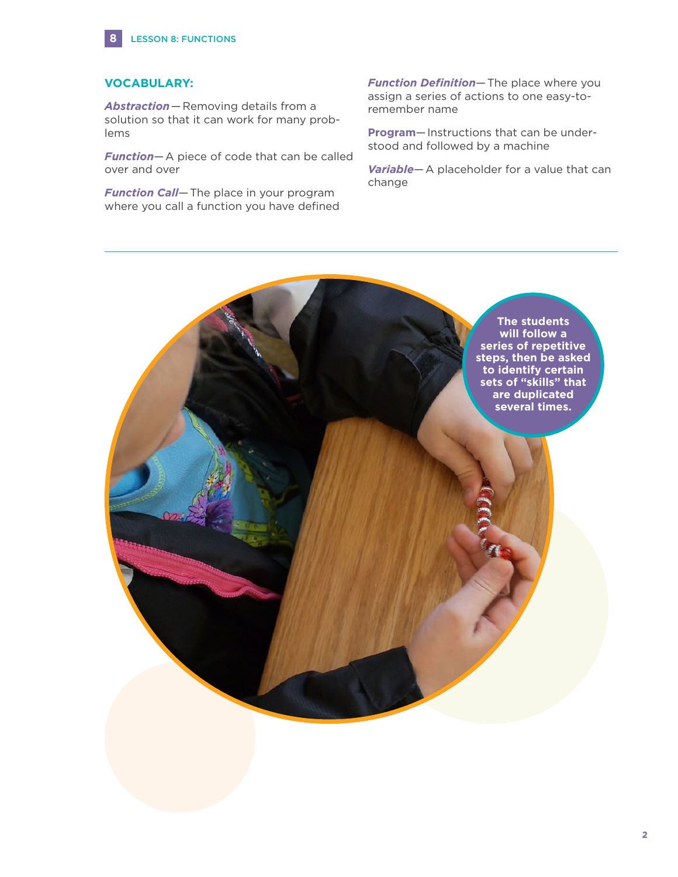

# **VOCABULARY:**

*Abstraction*—Removing details from a solution so that it can work for many problems

*Function*—A piece of code that can be called over and over

*Function Call*—The place in your program where you call a function you have defined *Function Definition*—The place where you assign a series of actions to one easy-toremember name

**Program**—Instructions that can be understood and followed by a machine

*Variable*—A placeholder for a value that can change

> **The students will follow a series of repetitive steps, then be asked to identify certain sets of "skills" that are duplicated several times.**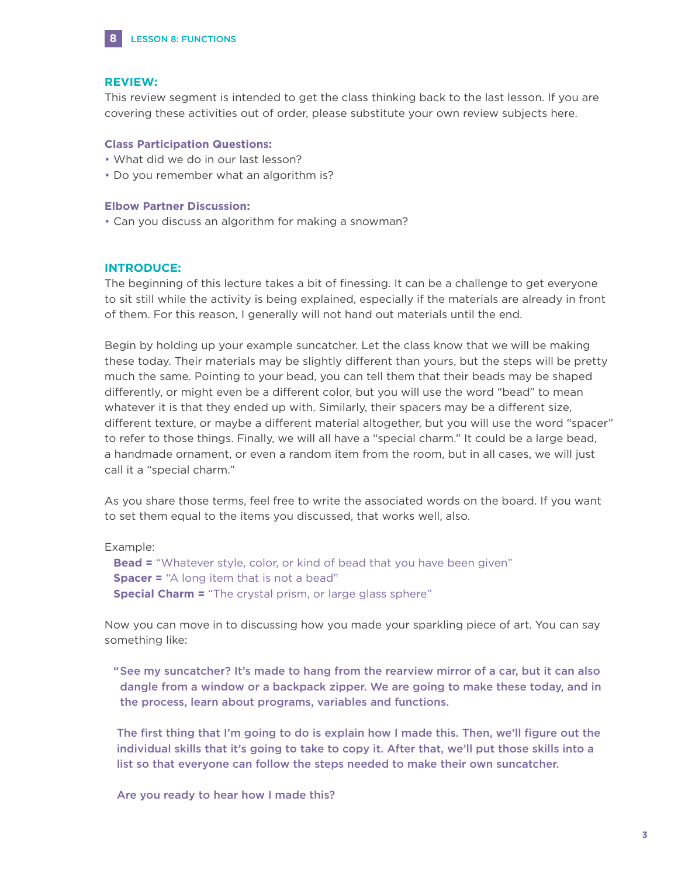

#### **REVIEW:**

This review segment is intended to get the class thinking back to the last lesson. If you are covering these activities out of order, please substitute your own review subjects here.

## **Class Participation Questions:**

- What did we do in our last lesson?
- Do you remember what an algorithm is?

#### **Elbow Partner Discussion:**

• Can you discuss an algorithm for making a snowman?

#### **INTRODUCE:**

The beginning of this lecture takes a bit of finessing. It can be a challenge to get everyone to sit still while the activity is being explained, especially if the materials are already in front of them. For this reason, I generally will not hand out materials until the end.

Begin by holding up your example suncatcher. Let the class know that we will be making these today. Their materials may be slightly different than yours, but the steps will be pretty much the same. Pointing to your bead, you can tell them that their beads may be shaped differently, or might even be a different color, but you will use the word "bead" to mean whatever it is that they ended up with. Similarly, their spacers may be a different size, different texture, or maybe a different material altogether, but you will use the word "spacer" to refer to those things. Finally, we will all have a "special charm." It could be a large bead, a handmade ornament, or even a random item from the room, but in all cases, we will just call it a "special charm."

As you share those terms, feel free to write the associated words on the board. If you want to set them equal to the items you discussed, that works well, also.

Example:

**Bead =** "Whatever style, color, or kind of bead that you have been given" **Spacer =** "A long item that is not a bead" **Special Charm =** "The crystal prism, or large glass sphere"

Now you can move in to discussing how you made your sparkling piece of art. You can say something like:

" See my suncatcher? It's made to hang from the rearview mirror of a car, but it can also dangle from a window or a backpack zipper. We are going to make these today, and in the process, learn about programs, variables and functions.

 The first thing that I'm going to do is explain how I made this. Then, we'll figure out the individual skills that it's going to take to copy it. After that, we'll put those skills into a list so that everyone can follow the steps needed to make their own suncatcher.

Are you ready to hear how I made this?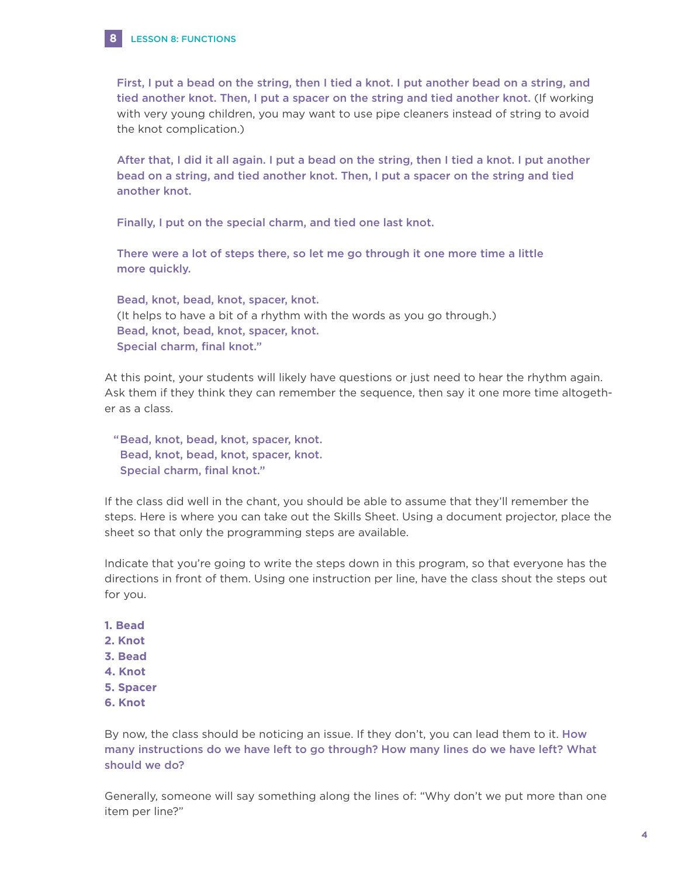

 First, I put a bead on the string, then I tied a knot. I put another bead on a string, and tied another knot. Then, I put a spacer on the string and tied another knot. (If working with very young children, you may want to use pipe cleaners instead of string to avoid the knot complication.)

 After that, I did it all again. I put a bead on the string, then I tied a knot. I put another bead on a string, and tied another knot. Then, I put a spacer on the string and tied another knot.

Finally, I put on the special charm, and tied one last knot.

 There were a lot of steps there, so let me go through it one more time a little more quickly.

 Bead, knot, bead, knot, spacer, knot. (It helps to have a bit of a rhythm with the words as you go through.) Bead, knot, bead, knot, spacer, knot. Special charm, final knot."

At this point, your students will likely have questions or just need to hear the rhythm again. Ask them if they think they can remember the sequence, then say it one more time altogether as a class.

"Bead, knot, bead, knot, spacer, knot. Bead, knot, bead, knot, spacer, knot. Special charm, final knot."

If the class did well in the chant, you should be able to assume that they'll remember the steps. Here is where you can take out the Skills Sheet. Using a document projector, place the sheet so that only the programming steps are available.

Indicate that you're going to write the steps down in this program, so that everyone has the directions in front of them. Using one instruction per line, have the class shout the steps out for you.

- **1. Bead**
- **2. Knot**
- **3. Bead**
- **4. Knot**
- **5. Spacer**
- **6. Knot**

By now, the class should be noticing an issue. If they don't, you can lead them to it. How many instructions do we have left to go through? How many lines do we have left? What should we do?

Generally, someone will say something along the lines of: "Why don't we put more than one item per line?"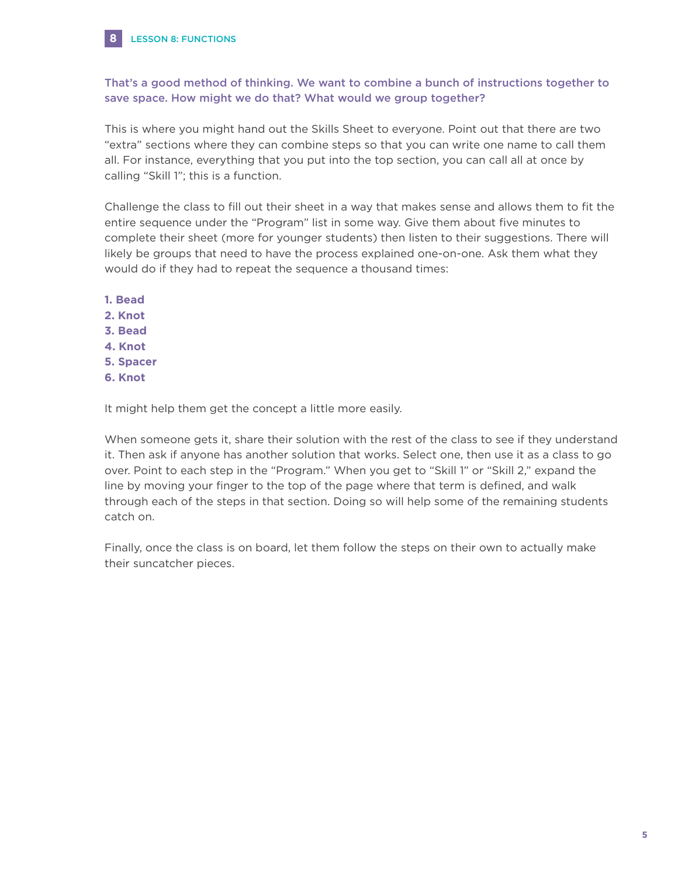

**8**

# That's a good method of thinking. We want to combine a bunch of instructions together to save space. How might we do that? What would we group together?

This is where you might hand out the Skills Sheet to everyone. Point out that there are two "extra" sections where they can combine steps so that you can write one name to call them all. For instance, everything that you put into the top section, you can call all at once by calling "Skill 1"; this is a function.

Challenge the class to fill out their sheet in a way that makes sense and allows them to fit the entire sequence under the "Program" list in some way. Give them about five minutes to complete their sheet (more for younger students) then listen to their suggestions. There will likely be groups that need to have the process explained one-on-one. Ask them what they would do if they had to repeat the sequence a thousand times:

**1. Bead 2. Knot 3. Bead 4. Knot 5. Spacer 6. Knot**

It might help them get the concept a little more easily.

When someone gets it, share their solution with the rest of the class to see if they understand it. Then ask if anyone has another solution that works. Select one, then use it as a class to go over. Point to each step in the "Program." When you get to "Skill 1" or "Skill 2," expand the line by moving your finger to the top of the page where that term is defined, and walk through each of the steps in that section. Doing so will help some of the remaining students catch on.

Finally, once the class is on board, let them follow the steps on their own to actually make their suncatcher pieces.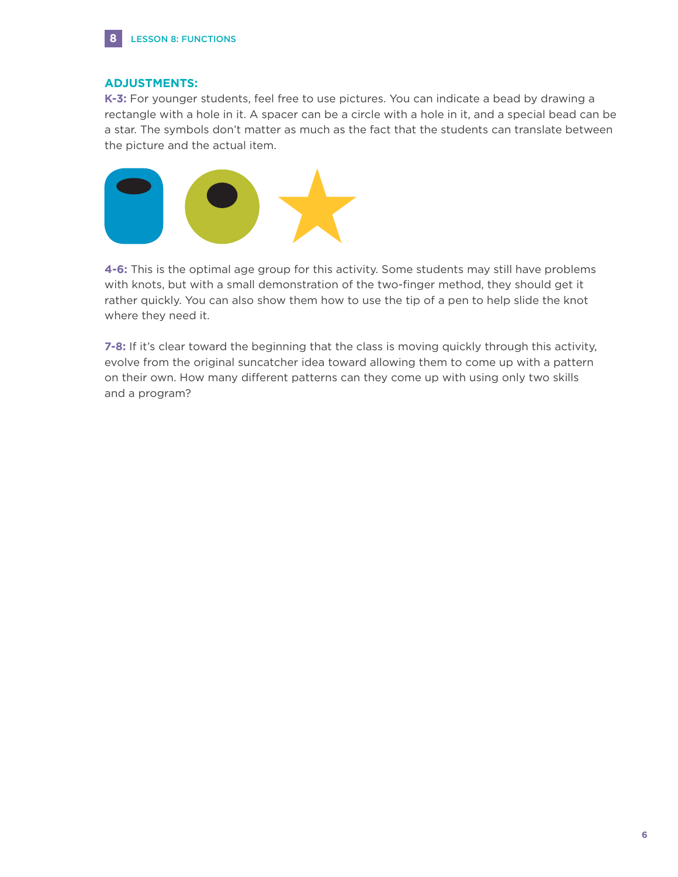

## **ADJUSTMENTS:**

**K-3:** For younger students, feel free to use pictures. You can indicate a bead by drawing a rectangle with a hole in it. A spacer can be a circle with a hole in it, and a special bead can be a star. The symbols don't matter as much as the fact that the students can translate between the picture and the actual item.



**4-6:** This is the optimal age group for this activity. Some students may still have problems with knots, but with a small demonstration of the two-finger method, they should get it rather quickly. You can also show them how to use the tip of a pen to help slide the knot where they need it.

**7-8:** If it's clear toward the beginning that the class is moving quickly through this activity, evolve from the original suncatcher idea toward allowing them to come up with a pattern on their own. How many different patterns can they come up with using only two skills and a program?